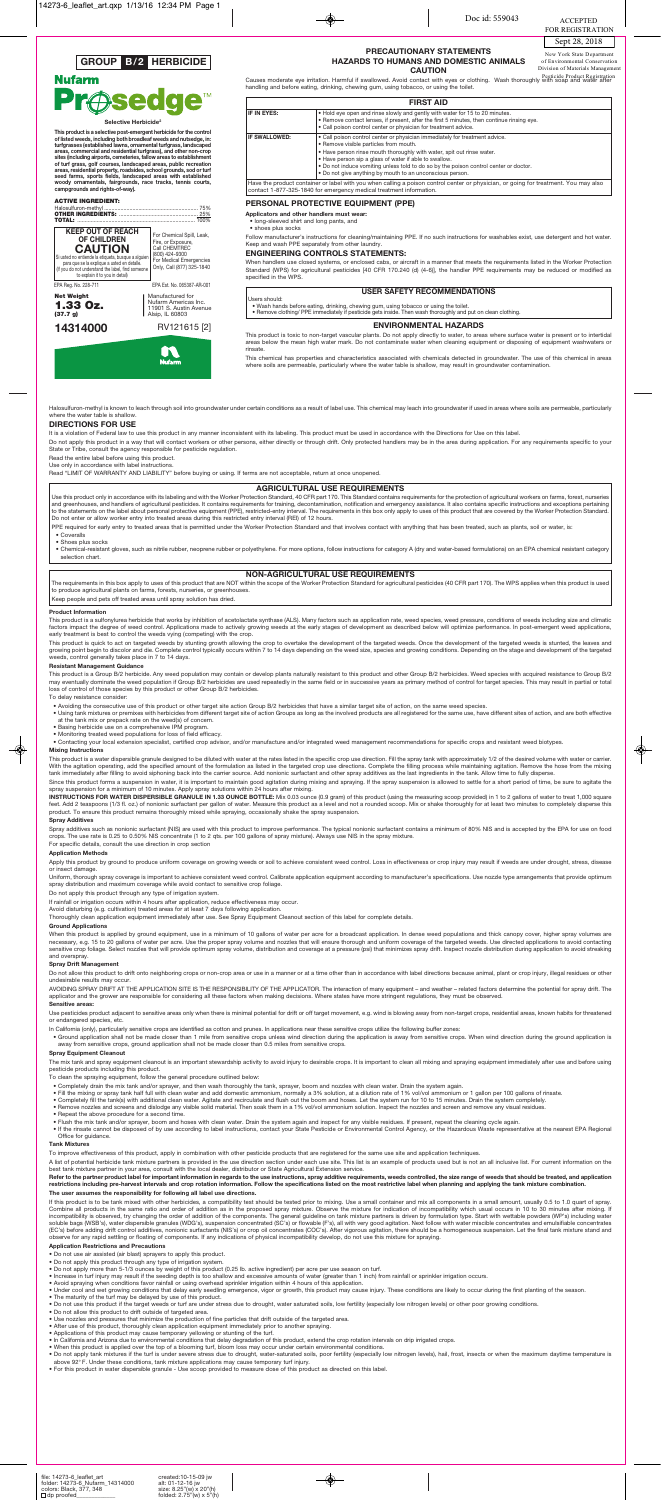### **PRECAUTIONARY STATEMENTS HAZARDS TO HUMANS AND DOMESTIC ANIMALS CAUTION**

Causes moderate eye irritation. Harmful if swallowed. Avoid contact with eyes or clothing. Wash thoroughly with soap and water aftion handling and before eating, drinking, chewing gum, using tobacco, or using the toilet.

#### **PERSONAL PROTECTIVE EQUIPMENT (PPE)**

**Applicators and other handlers must wear:**

• long-sleeved shirt and long pants, and

• shoes plus socks

Follow manufacturer's instructions for cleaning/maintaining PPE. If no such instructions for washables exist, use detergent and hot water. Keep and wash PPE separately from other laundry.

This product is toxic to non-target vascular plants. Do not apply directly to water, to areas where surface water is present or to intertidal<br>areas below the mean high water mark. Do not contaminate water when cleaning equ rinsate.

#### **ENGINEERING CONTROLS STATEMENTS:**

When handlers use closed systems, or enclosed cabs, or aircraft in a manner that meets the requirements listed in the Worker Protection Standard (WPS) for agricultural pesticides [40 CFR 170.240 (d) (4-6)], the handler PPE requirements may be reduced or modified as specified in the WPS.

#### **ENVIRONMENTAL HAZARDS**

This chemical has properties and characteristics associated with chemicals detected in groundwater. The use of this chemical in areas where soils are permeable, particularly where the water table is shallow, may result in groundwater contamination.

Halosulfuron-methyl is known to leach through soil into groundwater under certain conditions as a result of label use. This chemical may leach into groundwater if used in areas where soils are permeable, particularly where the water table is shallow

| <b>FIRST AID</b>                                                                                                                                                                                                                                             |                                                                                                                                                                                                                                                                                                                                                                                                                 |  |  |
|--------------------------------------------------------------------------------------------------------------------------------------------------------------------------------------------------------------------------------------------------------------|-----------------------------------------------------------------------------------------------------------------------------------------------------------------------------------------------------------------------------------------------------------------------------------------------------------------------------------------------------------------------------------------------------------------|--|--|
| IF IN EYES:<br>. Hold eye open and rinse slowly and gently with water for 15 to 20 minutes.<br>. Remove contact lenses, if present, after the first 5 minutes, then continue rinsing eye.<br>. Call poison control center or physician for treatment advice. |                                                                                                                                                                                                                                                                                                                                                                                                                 |  |  |
| IF SWALLOWED:                                                                                                                                                                                                                                                | • Call poison control center or physician immediately for treatment advice.<br>• Remove visible particles from mouth.<br>. Have person rinse mouth thoroughly with water, spit out rinse water.<br>. Have person sip a glass of water if able to swallow.<br>. Do not induce vomiting unless told to do so by the poison control center or doctor.<br>. Do not give anything by mouth to an unconscious person. |  |  |
| Have the product container or label with you when calling a poison control center or physician, or going for treatment. You may also<br>contact 1-877-325-1840 for emergency medical treatment information.                                                  |                                                                                                                                                                                                                                                                                                                                                                                                                 |  |  |

This product is a sulfonylurea herbicide that works by inhibition of acetolactate synthase (ALS). Many factors such as application rate, weed species, weed pressure, conditions of weeds including size and climatic<br>factors early treatment is best to control the weeds vying (competing) with the crop.

This product is quick to act on targeted weeds by stunting growth allowing the crop to overtake the development of the targeted weeds. Once the development of the targeted weeds is stunted, the leaves and growing point begin to discolor and die. Complete control typically occurs within 7 to 14 days depending on the weed size, species and growing conditions. Depending on the stage and development of the targeted weeds, control generally takes place in 7 to 14 days.

#### **USER SAFETY RECOMMENDATIONS**

Users should:

• Wash hands before eating, drinking, chewing gum, using tobacco or using the toilet. • Remove clothing/ PPE immediately if pesticide gets inside. Then wash thoroughly and put on clean clothing.

This product is a Group B/2 herbicide. Any weed population may contain or develop plants naturally resistant to this product and other Group B/2 herbicides. Weed species with acquired resistance to Group B/2<br>may eventually loss of control of those species by this product or other Group B/2 herbicides.

#### **DIRECTIONS FOR USE**

It is a violation of Federal law to use this product in any manner inconsistent with its labeling. This product must be used in accordance with the Directions for Use on this label.

Do not apply this product in a way that will contact workers or other persons, either directly or through drift. Only protected handlers may be in the area during application. For any requirements specific to your State or Tribe, consult the agency responsible for pesticide regulation.

Read the entire label before using this product. Use only in accordance with label instructions.

Read "LIMIT OF WARRANTY AND LIABILITY" before buying or using. If terms are not acceptable, return at once unopened.

#### **Product Information**

**INSTRUCTIONS FOR WATER DISPERSIBLE GRANULE IN 1.33 OUNCE BOTTLE:** Mix 0.03 ounce (0.9 gram) of this product (using the measuring scoop provided) in 1 to 2 gallons of water to treat 1,000 square<br>feet. Add 2 teaspoons (1/3 product. To ensure this product remains thoroughly mixed while spraying, occasionally shake the spray suspension.

Apply this product by ground to produce uniform coverage on growing weeds or soil to achieve consistent weed control. Loss in effectiveness or crop injury may result if weeds are under drought, stress, disease or insect damage.

### **Resistant Management Guidance**

When this product is applied by ground equipment, use in a minimum of 10 gallons of water per acre for a broadcast application. In dense weed populations and thick canopy cover, higher spray volumes are necessary, e.g. 15 to 20 gallons of water per acre. Use the proper spray volume and nozzles that will ensure thorough and uniform coverage of the targeted weeds. Use directed applications to avoid contacting<br>sensitive crop and overspray.

Do not allow this product to drift onto neighboring crops or non-crop area or use in a manner or at a time other than in accordance with label directions because animal, plant or crop injury, illegal residues or other undesirable results may occur.

To delay resistance consider:

- Avoiding the consecutive use of this product or other target site action Group B/2 herbicides that have a similar target site of action, on the same weed species.
- Using tank mixtures or premixes with herbicides from different target site of action Groups as long as the involved products are all registered for the same use, have different sites of action, and are both effective<br>at
- 
- Basing herbicide use on a comprehensive IPM program. Monitoring treated weed populations for loss of field efficacy.

The mix tank and spray equipment cleanout is an important stewardship activity to avoid injury to desirable crops. It is important to clean all mixing and spraying equipment immediately after use and before using pesticide products including this product.

• Contacting your local extension specialist, certified crop advisor, and/or manufacture and/or integrated weed management recommendations for specific crops and resistant weed biotypes.

### **Mixing Instructions**

This product is a water dispersible granule designed to be diluted with water at the rates listed in the specific crop use direction. Fill the spray tank with approximately 1/2 of the desired volume with water or carrier. With the agitation operating, add the specified amount of the formulation as listed in the targeted crop use directions. Complete the filling process while maintaining agitation. Remove the hose from the mixing<br>tank immedi

Since this product forms a suspension in water, it is important to maintain good agitation during mixing and spraying. If the spray suspension is allowed to settle for a short period of time, be sure to agitate the<br>spray s

A list of potential herbicide tank mixture partners is provided in the use direction section under each use site. This list is an example of products used but is not an all inclusive list. For current information on the best tank mixture partner in your area, consult with the local dealer, distributor or State Agricultural Extension service.

## Refer to the partner product label for important information in regards to the use instructions, spray additive requirements, weeds controlled, the size range of weeds that should be treated, and application<br>restrictions i

- Do not use air assisted (air blast) sprayers to apply this product.
- Do not apply this product through any type of irrigation system.
- Do not apply more than 5-1/3 ounces by weight of this product (0.25 lb. active ingredient) per acre per use season on turf.
- Increase in turf injury may result if the seeding depth is too shallow and excessive amounts of water (greater than 1 inch) from rainfall or sprinkler irrigation occurs.
- Avoid spraying when conditions favor rainfall or using overhead sprinkler irrigation within 4 hours of this application.
- Under cool and wet growing conditions that delay early seedling emergence, vigor or growth, this product may cause injury. These conditions are likely to occur during the first planting of the season.
- The maturity of the turf may be delayed by use of this product.
- Do not use this product if the target weeds or turf are under stress due to drought, water saturated soils, low fertility (especially low nitrogen levels) or other poor growing conditions.
- Do not allow this product to drift outside of targeted area.
- Use nozzles and pressures that minimize the production of fine particles that drift outside of the targeted area.
- After use of this product, thoroughly clean application equipment immediately prior to another spray
- Applications of this product may cause temporary yellowing or stunting of the turf.
- In California and Arizona due to environmental conditions that delay degradation of this product, extend the crop rotation intervals on drip irrigated crops.
- When this product is applied over the top of a blooming turf, bloom loss may occur under certain environmental conditions.
- Do not apply tank mixtures if the turf is under severe stress due to drought, water-saturated soils, poor fertility (especially low nitrogen levels), hail, frost, insects or when the maximum daytime temperature is<br>above

 $\overline{\bullet}$ 

#### **Spray Additives**

Spray additives such as nonionic surfactant (NIS) are used with this product to improve performance. The typical nonionic surfactant contains a minimum of 80% NIS and is accepted by the EPA for use on food<br>crops. The use r

#### For specific details, consult the use direction in crop section **Application Methods**

Uniform, thorough spray coverage is important to achieve consistent weed control. Calibrate application equipment according to manufacturer's specifications. Use nozzle type arrangements that provide optimum spray distribution and maximum coverage while avoid contact to sensitive crop foliage.

Do not apply this product through any type of irrigation system.

If rainfall or irrigation occurs within 4 hours after application, reduce effectiveness may occur

Avoid disturbing (e.g. cultivation) treated areas for at least 7 days following application.

Thoroughly clean application equipment immediately after use. See Spray Equipment Cleanout section of this label for complete details.

#### **Ground Applications**

• Chemical-resistant gloves, such as nitrile rubber, neoprene rubber or polyethylene. For more options, follow instructions for category A (dry and water-based formulations) on an EPA chemical resistant category selection chart.

The requirements in this box apply to uses of this product that are NOT within the scope of the Worker Protection Standard for agricultural pesticides (40 CFR part 170). The WPS applies when this product is used to produce agricultural plants on farms, forests, nurseries, or greenhouses.

#### **Spray Drift Management**

This product is a selective post-emergent herbicide for the control<br>of listed weeds, including both broadleaf weeds and nutsedge, in:<br>turfgrasses (established lawns, ornamental turfgrass, landscaped<br>areas, commercial and r **areas, residential property, roadsides, school grounds, sod or turf seed farms, sports fields, landscaped areas with established woody ornamentals, fairgrounds, race tracks, tennis courts, campgrounds and rights-of-way).**

#### **ACTIVE INGREDIENT:**

AVOIDING SPRAY DRIFT AT THE APPLICATION SITE IS THE RESPONSIBILITY OF THE APPLICATOR. The interaction of many equipment – and weather – related factors determine the potential for spray drift. The applicator and the grower are responsible for considering all these factors when making decisions. Where states have more stringent regulations, they must be observed.

#### **Sensitive areas:**

Use pesticides product adjacent to sensitive areas only when there is minimal potential for drift or off target movement, e.g. wind is blowing away from non-target crops, residential areas, known habits for threatened or endangered species, etc.

- In California (only), particularly sensitive crops are identified as cotton and prunes. In applications near these sensitive crops utilize the following buffer zones:
- · Ground application shall not be made closer than 1 mile from sensitive crops unless wind direction during the application is away from sensitive crops. When wind direction during the ground application is away from sensitive crops, ground application shall not be made closer than 0.5 miles from sensitive crops.

#### **Spray Equipment Cleanout**

To clean the spraying equipment, follow the general procedure outlined below:

- Completely drain the mix tank and/or sprayer, and then wash thoroughly the tank, sprayer, boom and nozzles with clean water. Drain the system again.
- Fill the mixing or spray tank half full with clean water and add domestic ammonium, normally a 3% solution, at a dilution rate of 1% vol/vol ammonium or 1 gallon per 100 gallons of rinsate.
- 
- Completely fill the tank(s) with additional clean water. Agitate and recirculate and flush out the boom and hoses. Let the system run for 10 to 15 minutes. Drain the system completely.<br>● Remove nozzles and screens and d
- Repeat the above procedure for a second time.
- 
- Flush the mix tank and/or sprayer, boom and hoses with clean water. Drain the system again and inspect for any visible residues. If present, repeat the cleaning cycle again.<br>• If the rinsate cannot be disposed of by use Office for guidance.

#### **Tank Mixtures**

To improve effectiveness of this product, apply in combination with other pesticide products that are registered for the same use site and application techniques.

#### **The user assumes the responsibility for following all label use directions.**

If this product is to be tank mixed with other herbicides, a compatibility test should be tested prior to mixing. Use a small container and mix all components in a small amount, usually 0.5 to 1.0 quart of spray. Combine all products in the same ratio and order of addition as in the proposed spray mixture. Observe the mixture for indication of incompatibility which usual occurs in 10 to 30 minutes after mixing. If incompatibility is observed, try changing the order of addition of the components. The general guideline on tank mixture partners is driven by formulation type. Start with wettable powders (WP's) including water<br>soluble ba (EC's) before adding drift control additives, nonionic surfactants (NIS's) or crop oil concentrates (COC's). After vigorous agitation, there should be a homogeneous suspension. Let the final tank mixture stand and<br>observe

#### **Application Restrictions and Precautions**

• For this product in water dispersible granule - Use scoop provided to measure dose of this product as directed on this label.

#### **AGRICULTURAL USE REQUIREMENTS**

Use this product only in accordance with its labeling and with the Worker Protection Standard, 40 CFR part 170. This Standard contains requirements for the protection of agricultural workers on farms, forest, nurseries<br>and Do not enter or allow worker entry into treated areas during this restricted entry interval (REI) of 12 hours. PPE required for early entry to treated areas that is permitted under the Worker Protection Standard and that involves contact with anything that has been treated, such as plants, soil or water, is:

**Coveralls** 

• Shoes plus socks

#### **NON-AGRICULTURAL USE REQUIREMENTS**

Keep people and pets off treated areas until spray solution has dried.

| <b>KEEP OUT OF REACH</b><br><b>OF CHILDREN</b><br><b>CAUTION</b><br>Si usted no entiende la etiqueta, busque a alquien<br>para que se la explique a usted en detalle.<br>(If you do not understand the label, find someone<br>to explain it to you in detail) | For Chemical Spill, Leak,<br>Fire, or Exposure,<br>Call CHEMTREC<br>(800) 424-9300<br>For Medical Emergencies<br>Only, Call (877) 325-1840 |
|---------------------------------------------------------------------------------------------------------------------------------------------------------------------------------------------------------------------------------------------------------------|--------------------------------------------------------------------------------------------------------------------------------------------|
| EPA Reg. No. 228-711                                                                                                                                                                                                                                          | EPA Est. No. 065387-AR-001                                                                                                                 |
| <b>Net Weight</b><br>1.33 Oz.<br>(37.7 g)                                                                                                                                                                                                                     | Manufactured for<br>Nufarm Americas Inc.<br>11901 S. Austin Avenue<br>Alsip, IL 60803                                                      |
| 14314000                                                                                                                                                                                                                                                      | RV121615 [2]                                                                                                                               |
|                                                                                                                                                                                                                                                               | Nufarm                                                                                                                                     |



# **Nufarm resed**

#### **Selective Herbicide**

## Sept 28, 2018

Doc id: 559043

ACCEPTED FOR REGISTRATION

New York State Department of Environmental Conservation Division of Materials Management